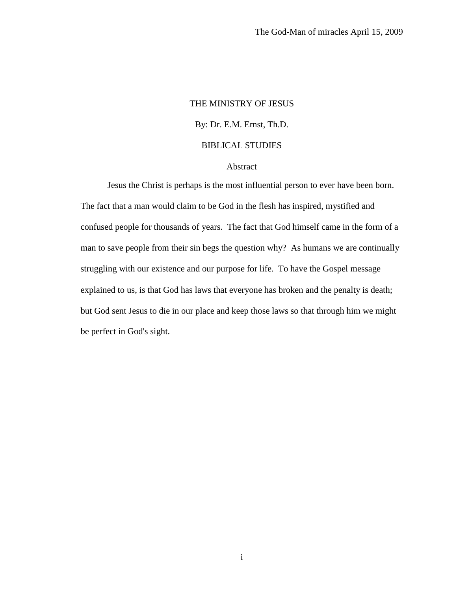# THE MINISTRY OF JESUS By: Dr. E.M. Ernst, Th.D. BIBLICAL STUDIES

# Abstract

Jesus the Christ is perhaps is the most influential person to ever have been born. The fact that a man would claim to be God in the flesh has inspired, mystified and confused people for thousands of years. The fact that God himself came in the form of a man to save people from their sin begs the question why? As humans we are continually struggling with our existence and our purpose for life. To have the Gospel message explained to us, is that God has laws that everyone has broken and the penalty is death; but God sent Jesus to die in our place and keep those laws so that through him we might be perfect in God's sight.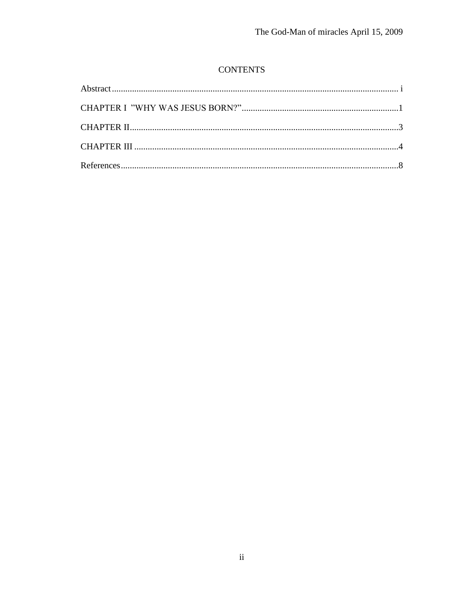# **CONTENTS**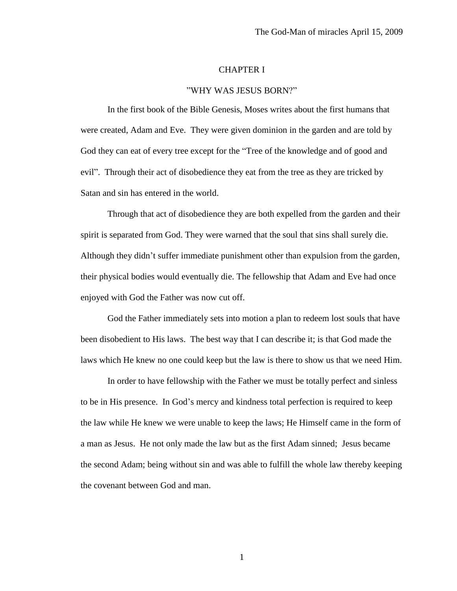### CHAPTER I

#### "WHY WAS JESUS BORN?"

In the first book of the Bible Genesis, Moses writes about the first humans that were created, Adam and Eve. They were given dominion in the garden and are told by God they can eat of every tree except for the "Tree of the knowledge and of good and evil". Through their act of disobedience they eat from the tree as they are tricked by Satan and sin has entered in the world.

Through that act of disobedience they are both expelled from the garden and their spirit is separated from God. They were warned that the soul that sins shall surely die. Although they didn't suffer immediate punishment other than expulsion from the garden, their physical bodies would eventually die. The fellowship that Adam and Eve had once enjoyed with God the Father was now cut off.

God the Father immediately sets into motion a plan to redeem lost souls that have been disobedient to His laws. The best way that I can describe it; is that God made the laws which He knew no one could keep but the law is there to show us that we need Him.

In order to have fellowship with the Father we must be totally perfect and sinless to be in His presence. In God's mercy and kindness total perfection is required to keep the law while He knew we were unable to keep the laws; He Himself came in the form of a man as Jesus. He not only made the law but as the first Adam sinned; Jesus became the second Adam; being without sin and was able to fulfill the whole law thereby keeping the covenant between God and man.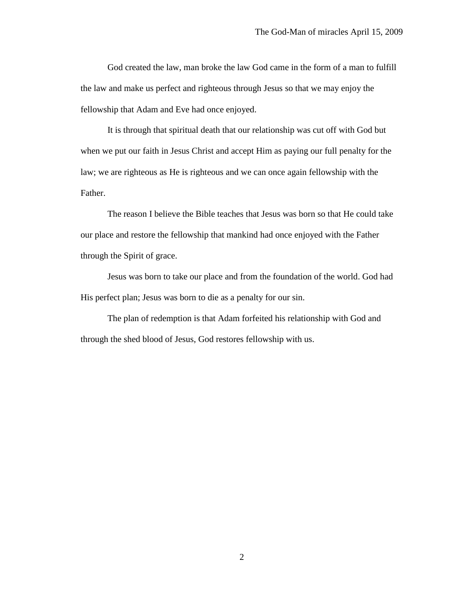God created the law, man broke the law God came in the form of a man to fulfill the law and make us perfect and righteous through Jesus so that we may enjoy the fellowship that Adam and Eve had once enjoyed.

It is through that spiritual death that our relationship was cut off with God but when we put our faith in Jesus Christ and accept Him as paying our full penalty for the law; we are righteous as He is righteous and we can once again fellowship with the Father.

The reason I believe the Bible teaches that Jesus was born so that He could take our place and restore the fellowship that mankind had once enjoyed with the Father through the Spirit of grace.

Jesus was born to take our place and from the foundation of the world. God had His perfect plan; Jesus was born to die as a penalty for our sin.

The plan of redemption is that Adam forfeited his relationship with God and through the shed blood of Jesus, God restores fellowship with us.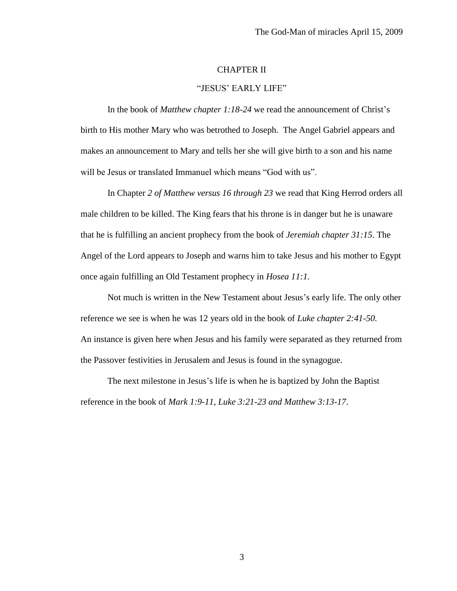## CHAPTER II

### "JESUS' EARLY LIFE"

In the book of *Matthew chapter 1:18-24* we read the announcement of Christ's birth to His mother Mary who was betrothed to Joseph. The Angel Gabriel appears and makes an announcement to Mary and tells her she will give birth to a son and his name will be Jesus or translated Immanuel which means "God with us".

In Chapter *2 of Matthew versus 16 through 23* we read that King Herrod orders all male children to be killed. The King fears that his throne is in danger but he is unaware that he is fulfilling an ancient prophecy from the book of *Jeremiah chapter 31:15*. The Angel of the Lord appears to Joseph and warns him to take Jesus and his mother to Egypt once again fulfilling an Old Testament prophecy in *Hosea 11:1.*

Not much is written in the New Testament about Jesus's early life. The only other reference we see is when he was 12 years old in the book of *Luke chapter 2:41-50.*  An instance is given here when Jesus and his family were separated as they returned from the Passover festivities in Jerusalem and Jesus is found in the synagogue.

The next milestone in Jesus's life is when he is baptized by John the Baptist reference in the book of *Mark 1:9-11, Luke 3:21-23 and Matthew 3:13-17*.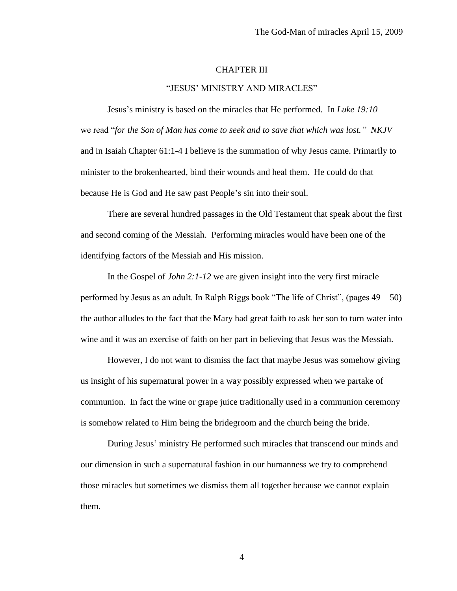### CHAPTER III

#### "JESUS' MINISTRY AND MIRACLES"

Jesus's ministry is based on the miracles that He performed. In *Luke 19:10* we read "*for the Son of Man has come to seek and to save that which was lost." NKJV* and in Isaiah Chapter 61:1-4 I believe is the summation of why Jesus came. Primarily to minister to the brokenhearted, bind their wounds and heal them. He could do that because He is God and He saw past People's sin into their soul.

There are several hundred passages in the Old Testament that speak about the first and second coming of the Messiah. Performing miracles would have been one of the identifying factors of the Messiah and His mission.

In the Gospel of *John 2:1-12* we are given insight into the very first miracle performed by Jesus as an adult. In Ralph Riggs book "The life of Christ", (pages 49 – 50) the author alludes to the fact that the Mary had great faith to ask her son to turn water into wine and it was an exercise of faith on her part in believing that Jesus was the Messiah.

However, I do not want to dismiss the fact that maybe Jesus was somehow giving us insight of his supernatural power in a way possibly expressed when we partake of communion. In fact the wine or grape juice traditionally used in a communion ceremony is somehow related to Him being the bridegroom and the church being the bride.

During Jesus' ministry He performed such miracles that transcend our minds and our dimension in such a supernatural fashion in our humanness we try to comprehend those miracles but sometimes we dismiss them all together because we cannot explain them.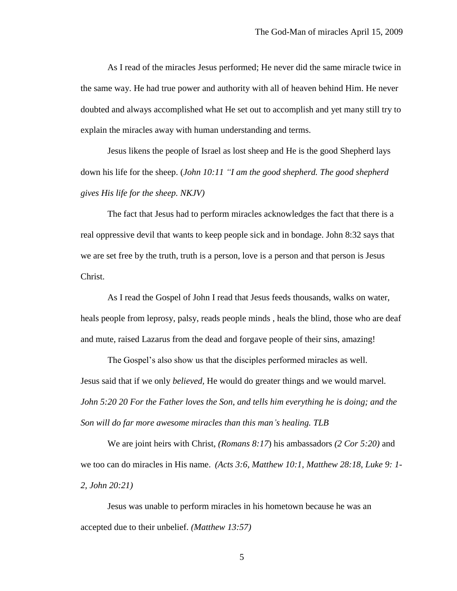As I read of the miracles Jesus performed; He never did the same miracle twice in the same way. He had true power and authority with all of heaven behind Him. He never doubted and always accomplished what He set out to accomplish and yet many still try to explain the miracles away with human understanding and terms.

Jesus likens the people of Israel as lost sheep and He is the good Shepherd lays down his life for the sheep. (*John 10:11 "I am the good shepherd. The good shepherd gives His life for the sheep. NKJV)* 

The fact that Jesus had to perform miracles acknowledges the fact that there is a real oppressive devil that wants to keep people sick and in bondage. John 8:32 says that we are set free by the truth, truth is a person, love is a person and that person is Jesus Christ.

As I read the Gospel of John I read that Jesus feeds thousands, walks on water, heals people from leprosy, palsy, reads people minds , heals the blind, those who are deaf and mute, raised Lazarus from the dead and forgave people of their sins, amazing!

The Gospel's also show us that the disciples performed miracles as well. Jesus said that if we only *believed,* He would do greater things and we would marvel*. John 5:20 20 For the Father loves the Son, and tells him everything he is doing; and the Son will do far more awesome miracles than this man's healing. TLB*

We are joint heirs with Christ, *(Romans 8:17*) his ambassadors *(2 Cor 5:20)* and we too can do miracles in His name. *(Acts 3:6, Matthew 10:1, Matthew 28:18, Luke 9: 1- 2, John 20:21)*

Jesus was unable to perform miracles in his hometown because he was an accepted due to their unbelief. *(Matthew 13:57)*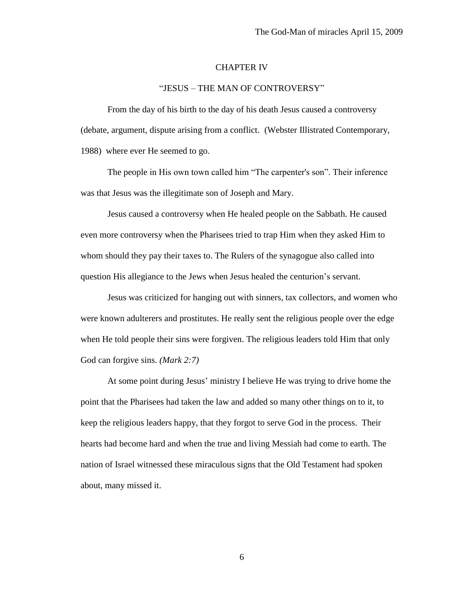#### CHAPTER IV

#### "JESUS – THE MAN OF CONTROVERSY"

From the day of his birth to the day of his death Jesus caused a controversy (debate, argument, dispute arising from a conflict. (Webster Illistrated Contemporary, 1988) where ever He seemed to go.

The people in His own town called him "The carpenter's son". Their inference was that Jesus was the illegitimate son of Joseph and Mary.

Jesus caused a controversy when He healed people on the Sabbath. He caused even more controversy when the Pharisees tried to trap Him when they asked Him to whom should they pay their taxes to. The Rulers of the synagogue also called into question His allegiance to the Jews when Jesus healed the centurion's servant.

Jesus was criticized for hanging out with sinners, tax collectors, and women who were known adulterers and prostitutes. He really sent the religious people over the edge when He told people their sins were forgiven. The religious leaders told Him that only God can forgive sins. *(Mark 2:7)*

At some point during Jesus' ministry I believe He was trying to drive home the point that the Pharisees had taken the law and added so many other things on to it, to keep the religious leaders happy, that they forgot to serve God in the process. Their hearts had become hard and when the true and living Messiah had come to earth. The nation of Israel witnessed these miraculous signs that the Old Testament had spoken about, many missed it.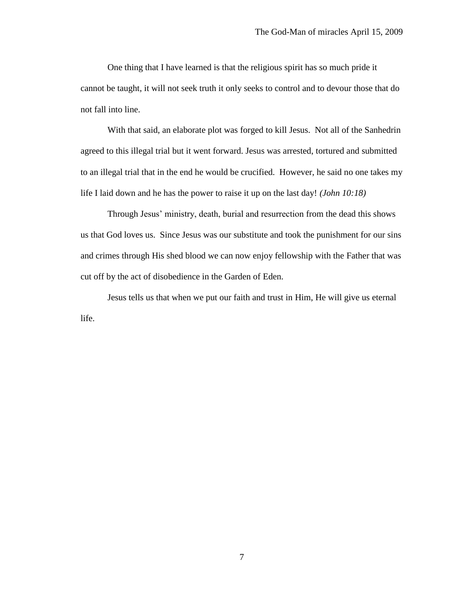One thing that I have learned is that the religious spirit has so much pride it cannot be taught, it will not seek truth it only seeks to control and to devour those that do not fall into line.

With that said, an elaborate plot was forged to kill Jesus. Not all of the Sanhedrin agreed to this illegal trial but it went forward. Jesus was arrested, tortured and submitted to an illegal trial that in the end he would be crucified. However, he said no one takes my life I laid down and he has the power to raise it up on the last day! *(John 10:18)* 

Through Jesus' ministry, death, burial and resurrection from the dead this shows us that God loves us. Since Jesus was our substitute and took the punishment for our sins and crimes through His shed blood we can now enjoy fellowship with the Father that was cut off by the act of disobedience in the Garden of Eden.

Jesus tells us that when we put our faith and trust in Him, He will give us eternal life.